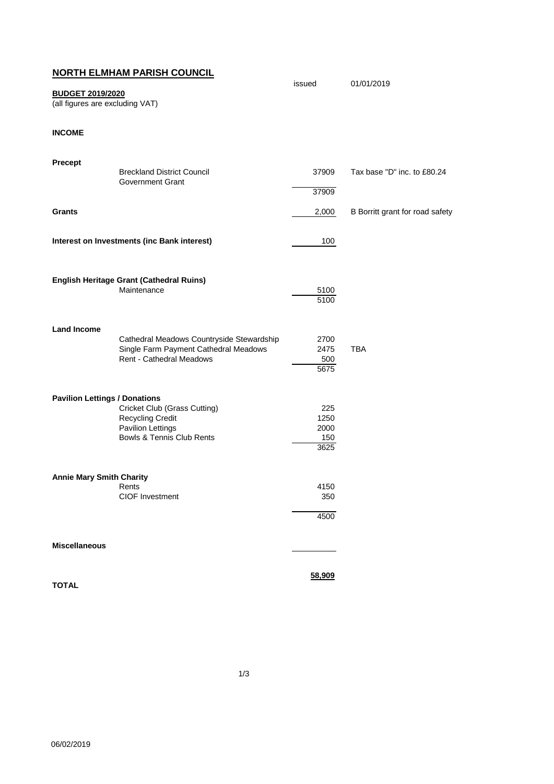## **NORTH ELMHAM PARISH COUNCIL**

## issued 01/01/2019 **BUDGET 2019/2020**

(all figures are excluding VAT)

**INCOME**

| Precept                              |                                                                                                                       |                                    |                                 |
|--------------------------------------|-----------------------------------------------------------------------------------------------------------------------|------------------------------------|---------------------------------|
|                                      | <b>Breckland District Council</b><br><b>Government Grant</b>                                                          | 37909                              | Tax base "D" inc. to £80.24     |
|                                      |                                                                                                                       | 37909                              |                                 |
| <b>Grants</b>                        |                                                                                                                       | 2,000                              | B Borritt grant for road safety |
|                                      | Interest on Investments (inc Bank interest)                                                                           | 100                                |                                 |
|                                      | <b>English Heritage Grant (Cathedral Ruins)</b><br>Maintenance                                                        | 5100<br>5100                       |                                 |
| <b>Land Income</b>                   | Cathedral Meadows Countryside Stewardship<br>Single Farm Payment Cathedral Meadows<br><b>Rent - Cathedral Meadows</b> | 2700<br>2475<br>500<br>5675        | <b>TBA</b>                      |
| <b>Pavilion Lettings / Donations</b> | Cricket Club (Grass Cutting)<br><b>Recycling Credit</b><br>Pavilion Lettings<br><b>Bowls &amp; Tennis Club Rents</b>  | 225<br>1250<br>2000<br>150<br>3625 |                                 |
| <b>Annie Mary Smith Charity</b>      | Rents<br><b>CIOF Investment</b>                                                                                       | 4150<br>350<br>4500                |                                 |
| <b>Miscellaneous</b>                 |                                                                                                                       |                                    |                                 |
| <b>TOTAL</b>                         |                                                                                                                       | 58,909                             |                                 |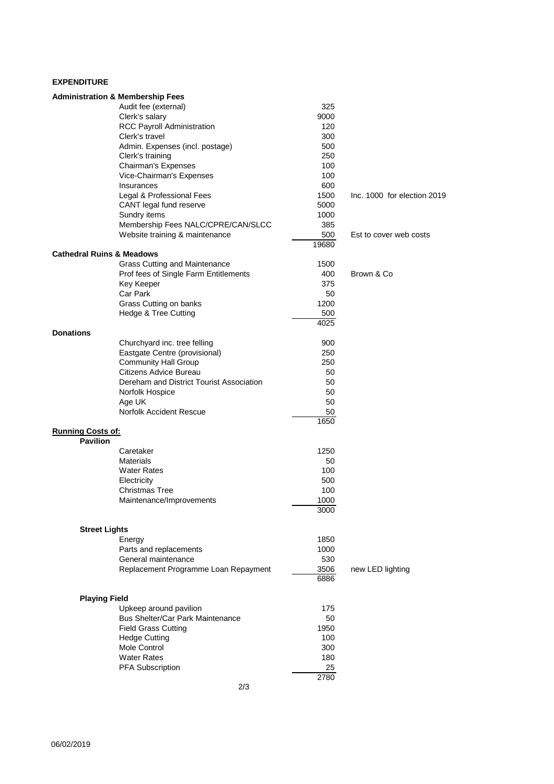## **EXPENDITURE**

|                                      | <b>Administration &amp; Membership Fees</b> |       |                             |
|--------------------------------------|---------------------------------------------|-------|-----------------------------|
|                                      | Audit fee (external)                        | 325   |                             |
|                                      | Clerk's salary                              | 9000  |                             |
|                                      | <b>RCC Payroll Administration</b>           | 120   |                             |
|                                      | Clerk's travel                              | 300   |                             |
|                                      | Admin. Expenses (incl. postage)             | 500   |                             |
|                                      | Clerk's training                            | 250   |                             |
|                                      | Chairman's Expenses                         | 100   |                             |
|                                      | Vice-Chairman's Expenses                    | 100   |                             |
|                                      | Insurances                                  | 600   |                             |
|                                      | Legal & Professional Fees                   | 1500  | Inc. 1000 for election 2019 |
|                                      | CANT legal fund reserve                     | 5000  |                             |
|                                      | Sundry items                                | 1000  |                             |
|                                      | Membership Fees NALC/CPRE/CAN/SLCC          | 385   |                             |
|                                      | Website training & maintenance              | 500   | Est to cover web costs      |
|                                      |                                             | 19680 |                             |
| <b>Cathedral Ruins &amp; Meadows</b> |                                             |       |                             |
|                                      | <b>Grass Cutting and Maintenance</b>        | 1500  |                             |
|                                      | Prof fees of Single Farm Entitlements       | 400   | Brown & Co                  |
|                                      | Key Keeper                                  | 375   |                             |
|                                      | Car Park                                    | 50    |                             |
|                                      | Grass Cutting on banks                      | 1200  |                             |
|                                      | Hedge & Tree Cutting                        | 500   |                             |
|                                      |                                             | 4025  |                             |
| <b>Donations</b>                     |                                             |       |                             |
|                                      | Churchyard inc. tree felling                | 900   |                             |
|                                      | Eastgate Centre (provisional)               | 250   |                             |
|                                      | <b>Community Hall Group</b>                 | 250   |                             |
|                                      | Citizens Advice Bureau                      | 50    |                             |
|                                      | Dereham and District Tourist Association    | 50    |                             |
|                                      | Norfolk Hospice                             | 50    |                             |
|                                      | Age UK                                      | 50    |                             |
|                                      | <b>Norfolk Accident Rescue</b>              | 50    |                             |
|                                      |                                             | 1650  |                             |
| <b>Running Costs of:</b>             |                                             |       |                             |
| <b>Pavilion</b>                      |                                             |       |                             |
|                                      | Caretaker                                   | 1250  |                             |
|                                      | <b>Materials</b>                            | 50    |                             |
|                                      | <b>Water Rates</b>                          | 100   |                             |
|                                      | Electricity                                 | 500   |                             |
|                                      | Christmas Tree                              | 100   |                             |
|                                      | Maintenance/Improvements                    | 1000  |                             |
|                                      |                                             | 3000  |                             |
|                                      |                                             |       |                             |
| <b>Street Lights</b>                 |                                             |       |                             |
|                                      | Energy                                      | 1850  |                             |
|                                      | Parts and replacements                      | 1000  |                             |
|                                      | General maintenance                         | 530   |                             |
|                                      | Replacement Programme Loan Repayment        | 3506  | new LED lighting            |
|                                      |                                             | 6886  |                             |
| <b>Playing Field</b>                 |                                             |       |                             |
|                                      | Upkeep around pavilion                      | 175   |                             |
|                                      | <b>Bus Shelter/Car Park Maintenance</b>     | 50    |                             |
|                                      | <b>Field Grass Cutting</b>                  | 1950  |                             |
|                                      | <b>Hedge Cutting</b>                        | 100   |                             |
|                                      | Mole Control                                | 300   |                             |
|                                      | <b>Water Rates</b>                          | 180   |                             |
|                                      | PFA Subscription                            | 25    |                             |
|                                      |                                             | 2780  |                             |
|                                      | 2/3                                         |       |                             |